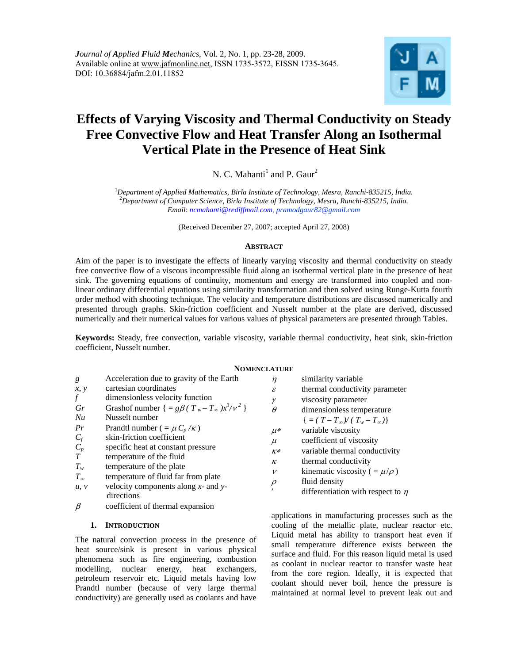

# **Effects of Varying Viscosity and Thermal Conductivity on Steady Free Convective Flow and Heat Transfer Along an Isothermal Vertical Plate in the Presence of Heat Sink**

N. C. Mahanti<sup>1</sup> and P. Gaur<sup>2</sup>

<sup>1</sup> Department of Applied Mathematics, Birla Institute of Technology, Mesra, Ranchi-835215, India.<br><sup>2</sup> Department of Computer Science, Birla Institute of Technology, Mesra, Banchi 835215, India. *Department of Computer Science, Birla Institute of Technology, Mesra, Ranchi-835215, India. Email*: *ncmahanti@rediffmail.com, pramodgaur82@gmail.com*

(Received December 27, 2007; accepted April 27, 2008)

## **ABSTRACT**

Aim of the paper is to investigate the effects of linearly varying viscosity and thermal conductivity on steady free convective flow of a viscous incompressible fluid along an isothermal vertical plate in the presence of heat sink. The governing equations of continuity, momentum and energy are transformed into coupled and nonlinear ordinary differential equations using similarity transformation and then solved using Runge-Kutta fourth order method with shooting technique. The velocity and temperature distributions are discussed numerically and presented through graphs. Skin-friction coefficient and Nusselt number at the plate are derived, discussed numerically and their numerical values for various values of physical parameters are presented through Tables.

**Keywords:** Steady, free convection, variable viscosity, variable thermal conductivity, heat sink, skin-friction coefficient, Nusselt number.

## **NOMENCLATURE**

| g            | Acceleration due to gravity of the Earth                   |
|--------------|------------------------------------------------------------|
| x, y         | cartesian coordinates                                      |
| f            | dimensionless velocity function                            |
| Gr           | Grashof number $\{ = g\beta(T_w - T_{\infty})x^3/\nu^2 \}$ |
| Nu           | Nusselt number                                             |
| Pr           | Prandtl number ( = $\mu C_p / \kappa$ )                    |
| $C_f$        | skin-friction coefficient                                  |
| $C_p$        | specific heat at constant pressure                         |
| T            | temperature of the fluid                                   |
| $T_w$        | temperature of the plate                                   |
| $T_{\infty}$ | temperature of fluid far from plate                        |
| u, v         | velocity components along $x$ - and $y$ -<br>directions    |

 $\beta$  coefficient of thermal expansion

# **1. INTRODUCTION**

The natural convection process in the presence of heat source/sink is present in various physical phenomena such as fire engineering, combustion modelling, nuclear energy, heat exchangers, petroleum reservoir etc. Liquid metals having low Prandtl number (because of very large thermal conductivity) are generally used as coolants and have

| η        | similarity variable                      |
|----------|------------------------------------------|
| £.       | thermal conductivity parameter           |
| γ        | viscosity parameter                      |
|          | dimensionless temperature                |
|          | $\{=(T-T_{\infty})/(T_{w}-T_{\infty})\}$ |
| $\mu*$   | variable viscosity                       |
| $\mu$    | coefficient of viscosity                 |
| $K^*$    | variable thermal conductivity            |
| $\kappa$ | thermal conductivity                     |
| ν        | kinematic viscosity ( $=\mu/\rho$ )      |
| $\rho$   | fluid density                            |
|          | differentiation with respect to $\eta$   |

applications in manufacturing processes such as the cooling of the metallic plate, nuclear reactor etc. Liquid metal has ability to transport heat even if small temperature difference exists between the surface and fluid. For this reason liquid metal is used as coolant in nuclear reactor to transfer waste heat from the core region. Ideally, it is expected that coolant should never boil, hence the pressure is maintained at normal level to prevent leak out and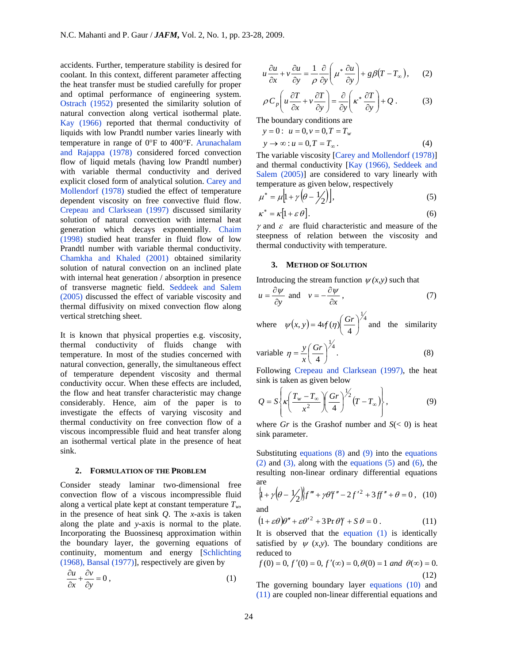accidents. Further, temperature stability is desired for coolant. In this context, different parameter affecting the heat transfer must be studied carefully for proper and optimal performance of engineering system. Ostrach (1952) presented the similarity solution of natural convection along vertical isothermal plate. Kay (1966) reported that thermal conductivity of liquids with low Prandtl number varies linearly with temperature in range of 0°F to 400°F. Arunachalam and Rajappa (1978) considered forced convection flow of liquid metals (having low Prandtl number) with variable thermal conductivity and derived explicit closed form of analytical solution. Carey and Mollendorf (1978) studied the effect of temperature dependent viscosity on free convective fluid flow. Crepeau and Clarksean (1997) discussed similarity solution of natural convection with internal heat generation which decays exponentially. Chaim (1998) studied heat transfer in fluid flow of low Prandtl number with variable thermal conductivity. Chamkha and Khaled (2001) obtained similarity solution of natural convection on an inclined plate with internal heat generation / absorption in presence of transverse magnetic field. Seddeek and Salem (2005) discussed the effect of variable viscosity and thermal diffusivity on mixed convection flow along vertical stretching sheet.

It is known that physical properties e.g. viscosity, thermal conductivity of fluids change with temperature. In most of the studies concerned with natural convection, generally, the simultaneous effect of temperature dependent viscosity and thermal conductivity occur. When these effects are included, the flow and heat transfer characteristic may change considerably. Hence, aim of the paper is to investigate the effects of varying viscosity and thermal conductivity on free convection flow of a viscous incompressible fluid and heat transfer along an isothermal vertical plate in the presence of heat sink.

#### **2. FORMULATION OF THE PROBLEM**

Consider steady laminar two-dimensional free convection flow of a viscous incompressible fluid along a vertical plate kept at constant temperature  $T_w$ , in the presence of heat sink *Q*. The *x*-axis is taken along the plate and *y*-axis is normal to the plate. Incorporating the Buossinesq approximation within the boundary layer, the governing equations of continuity, momentum and energy [Schlichting (1968), Bansal (1977)], respectively are given by

$$
\frac{\partial u}{\partial x} + \frac{\partial v}{\partial y} = 0, \qquad (1)
$$

$$
u\frac{\partial u}{\partial x} + v\frac{\partial u}{\partial y} = \frac{1}{\rho}\frac{\partial}{\partial y}\left(\mu^*\frac{\partial u}{\partial y}\right) + g\beta(T - T_\infty), \quad (2)
$$

$$
\rho C_p \left( u \frac{\partial T}{\partial x} + v \frac{\partial T}{\partial y} \right) = \frac{\partial}{\partial y} \left( \kappa^* \frac{\partial T}{\partial y} \right) + Q \,. \tag{3}
$$

The boundary conditions are  $y = 0$ :  $u = 0, v = 0, T = T_w$ 

$$
y \to \infty : u = 0, T = T_{\infty}.
$$
 (4)

The variable viscosity [Carey and Mollendorf (1978)] and thermal conductivity [Kay (1966), Seddeek and Salem (2005)] are considered to vary linearly with temperature as given below, respectively

$$
\mu^* = \mu \left[ 1 + \gamma \left( \theta - \frac{1}{2} \right) \right],\tag{5}
$$

$$
\kappa^* = \kappa \left[ 1 + \varepsilon \,\theta \right].\tag{6}
$$

 $\gamma$  and  $\varepsilon$  are fluid characteristic and measure of the steepness of relation between the viscosity and thermal conductivity with temperature.

#### **3. METHOD OF SOLUTION**

Introducing the stream function  $\psi(x, y)$  such that

$$
u = \frac{\partial \psi}{\partial y} \text{ and } v = -\frac{\partial \psi}{\partial x}, \qquad (7)
$$

where 
$$
\psi(x, y) = 4\psi(\eta) \left(\frac{Gr}{4}\right)^{\frac{1}{4}}
$$
 and the similarity

variable 
$$
\eta = \frac{y}{x} \left( \frac{Gr}{4} \right)^{\frac{1}{4}}
$$
. (8)

Following Crepeau and Clarksean (1997), the heat sink is taken as given below

$$
Q = S\left\{ \kappa \left( \frac{T_w - T_\infty}{x^2} \right) \left( \frac{Gr}{4} \right)^{\frac{1}{2}} (T - T_\infty) \right\},\tag{9}
$$

where *Gr* is the Grashof number and  $S(< 0)$  is heat sink parameter.

Substituting equations  $(8)$  and  $(9)$  into the equations  $(2)$  and  $(3)$ , along with the equations  $(5)$  and  $(6)$ , the resulting non-linear ordinary differential equations are  $\mathcal{L}$  $\ddot{\phantom{a}}$ 

$$
\{1 + \gamma (\theta - \frac{1}{2})\}f''' + \gamma \theta f'' - 2f'^2 + 3ff'' + \theta = 0, \quad (10)
$$
  
and

$$
(1 + \varepsilon \theta)\theta'' + \varepsilon {\theta'}^2 + 3\Pr{\theta}f + S\theta = 0.
$$
 (11)

It is observed that the equation (1) is identically satisfied by  $\psi(x,y)$ . The boundary conditions are reduced to

$$
f(0) = 0, f'(0) = 0, f'(\infty) = 0, \theta(0) = 1 \text{ and } \theta(\infty) = 0.
$$
\n(12)

The governing boundary layer equations (10) and (11) are coupled non-linear differential equations and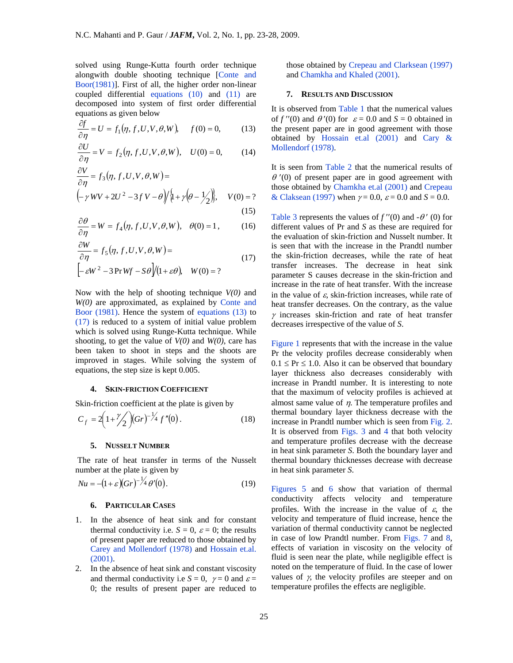solved using Runge-Kutta fourth order technique alongwith double shooting technique [Conte and Boor(1981)]. First of all, the higher order non-linear coupled differential equations (10) and (11) are decomposed into system of first order differential equations as given below

$$
\frac{\partial f}{\partial \eta} = U = f_1(\eta, f, U, V, \theta, W), \quad f(0) = 0, \quad (13)
$$

$$
\frac{\partial U}{\partial \eta} = V = f_2(\eta, f, U, V, \theta, W), \quad U(0) = 0,
$$
 (14)

$$
\frac{\partial V}{\partial \eta} = f_3(\eta, f, U, V, \theta, W) =
$$
\n
$$
\left(-\gamma W V + 2U^2 - 3f V - \theta\right) \left\{\psi + \gamma \left(\theta - \frac{1}{2}\right)\right\}, \quad V(0) = ?
$$
\n(15)

$$
\frac{\partial \theta}{\partial \eta} = W = f_4(\eta, f, U, V, \theta, W), \quad \theta(0) = 1, \quad (16)
$$

$$
\frac{\partial W}{\partial \eta} = f_5(\eta, f, U, V, \theta, W) =
$$
\n
$$
\left[ -\varepsilon W^2 - 3 \Pr W f - S \theta \right] / (1 + \varepsilon \theta), \quad W(0) = ?
$$
\n(17)

Now with the help of shooting technique *V(0)* and *W(0)* are approximated, as explained by Conte and Boor (1981). Hence the system of equations (13) to (17) is reduced to a system of initial value problem which is solved using Runge-Kutta technique. While shooting, to get the value of *V(0)* and *W(0)*, care has been taken to shoot in steps and the shoots are improved in stages. While solving the system of equations, the step size is kept 0.005.

#### **4. SKIN-FRICTION COEFFICIENT**

Skin-friction coefficient at the plate is given by

$$
C_f = 2\left(1 + \frac{\gamma}{2}\right)(Gr)^{-\frac{1}{4}} f''(0). \tag{18}
$$

### **5. NUSSELT NUMBER**

The rate of heat transfer in terms of the Nusselt number at the plate is given by

$$
Nu = -(1+\varepsilon)(Gr)^{-1/4} \theta'(0). \tag{19}
$$

#### **6. PARTICULAR CASES**

- 1. In the absence of heat sink and for constant thermal conductivity i.e.  $S = 0$ ,  $\varepsilon = 0$ ; the results of present paper are reduced to those obtained by Carey and Mollendorf (1978) and Hossain et.al. (2001).
- 2. In the absence of heat sink and constant viscosity and thermal conductivity i.e  $S = 0$ ,  $\gamma = 0$  and  $\varepsilon =$ 0; the results of present paper are reduced to

those obtained by Crepeau and Clarksean (1997) and Chamkha and Khaled (2001).

#### **7. RESULTS AND DISCUSSION**

It is observed from Table 1 that the numerical values of  $f''(0)$  and  $\theta'(0)$  for  $\varepsilon = 0.0$  and  $S = 0$  obtained in the present paper are in good agreement with those obtained by Hossain et.al (2001) and Cary & Mollendorf (1978).

It is seen from Table 2 that the numerical results of  $\theta$  '(0) of present paper are in good agreement with those obtained by Chamkha et.al (2001) and Crepeau & Claksean (1997) when  $\gamma = 0.0$ ,  $\varepsilon = 0.0$  and  $S = 0.0$ .

Table 3 represents the values of  $f''(0)$  and  $-\theta'$  (0) for different values of Pr and *S* as these are required for the evaluation of skin-friction and Nusselt number. It is seen that with the increase in the Prandtl number the skin-friction decreases, while the rate of heat transfer increases. The decrease in heat sink parameter S causes decrease in the skin-friction and increase in the rate of heat transfer. With the increase in the value of  $\varepsilon$ , skin-friction increases, while rate of heat transfer decreases. On the contrary, as the value  $\gamma$  increases skin-friction and rate of heat transfer decreases irrespective of the value of *S*.

Figure 1 represents that with the increase in the value Pr the velocity profiles decrease considerably when  $0.1 \leq Pr \leq 1.0$ . Also it can be observed that boundary layer thickness also decreases considerably with increase in Prandtl number. It is interesting to note that the maximum of velocity profiles is achieved at almost same value of  $\eta$ . The temperature profiles and thermal boundary layer thickness decrease with the increase in Prandtl number which is seen from Fig. 2. It is observed from Figs. 3 and 4 that both velocity and temperature profiles decrease with the decrease in heat sink parameter *S*. Both the boundary layer and thermal boundary thicknesses decrease with decrease in heat sink parameter *S*.

Figures 5 and 6 show that variation of thermal conductivity affects velocity and temperature profiles. With the increase in the value of  $\varepsilon$ , the velocity and temperature of fluid increase, hence the variation of thermal conductivity cannot be neglected in case of low Prandtl number. From Figs. 7 and 8, effects of variation in viscosity on the velocity of fluid is seen near the plate, while negligible effect is noted on the temperature of fluid. In the case of lower values of  $\gamma$ , the velocity profiles are steeper and on temperature profiles the effects are negligible.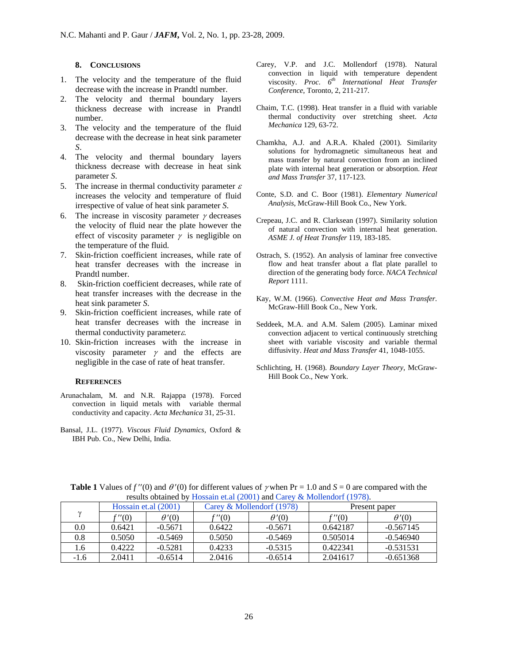# **8. CONCLUSIONS**

- 1. The velocity and the temperature of the fluid decrease with the increase in Prandtl number.
- 2. The velocity and thermal boundary layers thickness decrease with increase in Prandtl number.
- 3. The velocity and the temperature of the fluid decrease with the decrease in heat sink parameter *S*.
- 4. The velocity and thermal boundary layers thickness decrease with decrease in heat sink parameter *S*.
- 5. The increase in thermal conductivity parameter  $\varepsilon$ increases the velocity and temperature of fluid irrespective of value of heat sink parameter *S*.
- 6. The increase in viscosity parameter  $\gamma$  decreases the velocity of fluid near the plate however the effect of viscosity parameter  $\gamma$  is negligible on the temperature of the fluid.
- 7. Skin-friction coefficient increases, while rate of heat transfer decreases with the increase in Prandtl number.
- 8. Skin-friction coefficient decreases, while rate of heat transfer increases with the decrease in the heat sink parameter *S*.
- 9. Skin-friction coefficient increases, while rate of heat transfer decreases with the increase in thermal conductivity parameters.
- 10. Skin-friction increases with the increase in viscosity parameter  $\gamma$  and the effects are negligible in the case of rate of heat transfer.

#### **REFERENCES**

- Arunachalam, M. and N.R. Rajappa (1978). Forced convection in liquid metals with variable thermal conductivity and capacity. *Acta Mechanica* 31, 25-31.
- Bansal, J.L. (1977). *Viscous Fluid Dynamics*, Oxford & IBH Pub. Co., New Delhi, India.
- Carey, V.P. and J.C. Mollendorf (1978). Natural convection in liquid with temperature dependent viscosity. *Proc.*  $6^{th}$  International Heat Transfer *Conference*, Toronto, 2, 211-217.
- Chaim, T.C. (1998). Heat transfer in a fluid with variable thermal conductivity over stretching sheet. *Acta Mechanica* 129, 63-72.
- Chamkha, A.J. and A.R.A. Khaled (2001). Similarity solutions for hydromagnetic simultaneous heat and mass transfer by natural convection from an inclined plate with internal heat generation or absorption. *Heat and Mass Transfer* 37, 117-123.
- Conte, S.D. and C. Boor (1981). *Elementary Numerical Analysis*, McGraw-Hill Book Co., New York.
- Crepeau, J.C. and R. Clarksean (1997). Similarity solution of natural convection with internal heat generation. *ASME J. of Heat Transfer* 119, 183-185.
- Ostrach, S. (1952). An analysis of laminar free convective flow and heat transfer about a flat plate parallel to direction of the generating body force. *NACA Technical Report* 1111.
- Kay, W.M. (1966). *Convective Heat and Mass Transfer.* McGraw-Hill Book Co., New York.
- Seddeek, M.A. and A.M. Salem (2005). Laminar mixed convection adjacent to vertical continuously stretching sheet with variable viscosity and variable thermal diffusivity. *Heat and Mass Transfer* 41, 1048-1055.
- Schlichting, H. (1968). *Boundary Layer Theory*, McGraw-Hill Book Co., New York.

| results obtained by Trossain et.al (2001) and early $\alpha$ monentum (1770). |                      |              |                           |              |               |              |  |
|-------------------------------------------------------------------------------|----------------------|--------------|---------------------------|--------------|---------------|--------------|--|
|                                                                               | Hossain et.al (2001) |              | Carey & Mollendorf (1978) |              | Present paper |              |  |
|                                                                               | f"(0)                | $\theta'(0)$ | $\cdot$ "(0)              | $\theta'(0)$ | f"(0)         | $\theta'(0)$ |  |
| 0.0                                                                           | 0.6421               | $-0.5671$    | 0.6422                    | $-0.5671$    | 0.642187      | $-0.567145$  |  |
| 0.8                                                                           | 0.5050               | $-0.5469$    | 0.5050                    | $-0.5469$    | 0.505014      | $-0.546940$  |  |
| l.6                                                                           | 0.4222               | $-0.5281$    | 0.4233                    | $-0.5315$    | 0.422341      | $-0.531531$  |  |
| $-1.6$                                                                        | 2.0411               | $-0.6514$    | 2.0416                    | $-0.6514$    | 2.041617      | $-0.651368$  |  |

**Table 1** Values of  $f''(0)$  and  $\theta'(0)$  for different values of  $\gamma$  when Pr = 1.0 and  $S = 0$  are compared with the results obtained by Hossain et.al (2001) and Carey & Mollendorf (1978).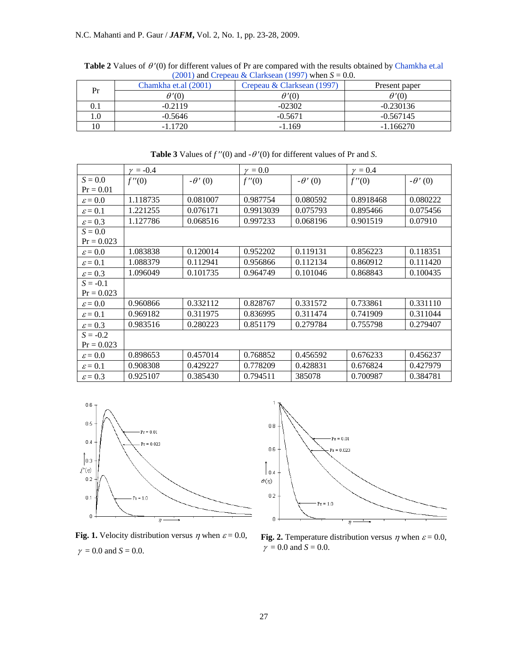| Pr  | Chamkha et.al (2001) | $(2001)$ and Crepeau equational $(177)$ when $0 = 0.0$ .<br>Crepeau & Clarksean (1997) | Present paper |  |
|-----|----------------------|----------------------------------------------------------------------------------------|---------------|--|
|     | $\theta'(0)$         | $\theta'(0)$                                                                           | $\theta'(0)$  |  |
|     | $-0.2119$            | $-02302$                                                                               | $-0.230136$   |  |
| 1.0 | $-0.5646$            | $-0.5671$                                                                              | $-0.567145$   |  |
| l0  | $-1.1720$            | $-1.169$                                                                               | $-1.166270$   |  |

**Table 2** Values of  $θ'$  (0) for different values of Pr are compared with the results obtained by Chamkha et.al  $(2001)$  and Crepeau & Clarksean (1997) when  $S = 0.0$ .

|                     | $\gamma = -0.4$ |                | $\nu = 0.0$ |                | $\gamma = 0.4$ |                |
|---------------------|-----------------|----------------|-------------|----------------|----------------|----------------|
| $S = 0.0$           | f''(0)          | $-\theta'$ (0) | f''(0)      | $-\theta'$ (0) | f''(0)         | $-\theta'$ (0) |
| $Pr = 0.01$         |                 |                |             |                |                |                |
| $\varepsilon = 0.0$ | 1.118735        | 0.081007       | 0.987754    | 0.080592       | 0.8918468      | 0.080222       |
| $\varepsilon = 0.1$ | 1.221255        | 0.076171       | 0.9913039   | 0.075793       | 0.895466       | 0.075456       |
| $\varepsilon = 0.3$ | 1.127786        | 0.068516       | 0.997233    | 0.068196       | 0.901519       | 0.07910        |
| $S = 0.0$           |                 |                |             |                |                |                |
| $Pr = 0.023$        |                 |                |             |                |                |                |
| $\varepsilon = 0.0$ | 1.083838        | 0.120014       | 0.952202    | 0.119131       | 0.856223       | 0.118351       |
| $\varepsilon = 0.1$ | 1.088379        | 0.112941       | 0.956866    | 0.112134       | 0.860912       | 0.111420       |
| $\varepsilon = 0.3$ | 1.096049        | 0.101735       | 0.964749    | 0.101046       | 0.868843       | 0.100435       |
| $S = -0.1$          |                 |                |             |                |                |                |
| $Pr = 0.023$        |                 |                |             |                |                |                |
| $\varepsilon = 0.0$ | 0.960866        | 0.332112       | 0.828767    | 0.331572       | 0.733861       | 0.331110       |
| $\varepsilon = 0.1$ | 0.969182        | 0.311975       | 0.836995    | 0.311474       | 0.741909       | 0.311044       |
| $\varepsilon = 0.3$ | 0.983516        | 0.280223       | 0.851179    | 0.279784       | 0.755798       | 0.279407       |
| $S = -0.2$          |                 |                |             |                |                |                |
| $Pr = 0.023$        |                 |                |             |                |                |                |
| $\varepsilon = 0.0$ | 0.898653        | 0.457014       | 0.768852    | 0.456592       | 0.676233       | 0.456237       |
| $\varepsilon = 0.1$ | 0.908308        | 0.429227       | 0.778209    | 0.428831       | 0.676824       | 0.427979       |
| $\varepsilon = 0.3$ | 0.925107        | 0.385430       | 0.794511    | 385078         | 0.700987       | 0.384781       |

**Table 3** Values of  $f''(0)$  and  $-\theta'(0)$  for different values of Pr and *S*.



**Fig. 1.** Velocity distribution versus  $\eta$  when  $\varepsilon = 0.0$ ,  $\gamma = 0.0$  and *S* = 0.0.



**Fig. 2.** Temperature distribution versus  $\eta$  when  $\varepsilon = 0.0$ ,  $\gamma = 0.0$  and  $S = 0.0$ .